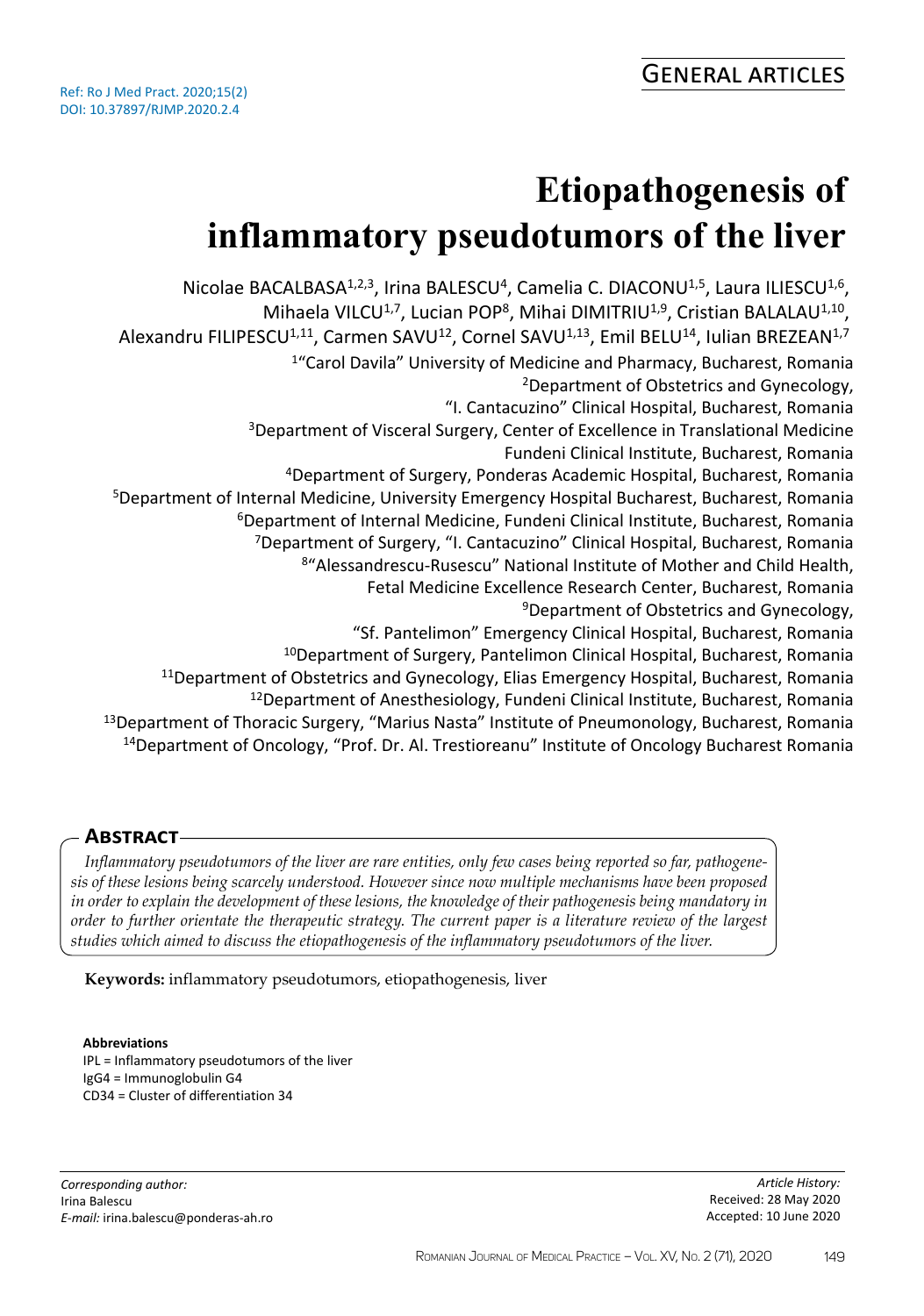# **Etiopathogenesis of inflammatory pseudotumors of the liver**

Nicolae BACALBASA<sup>1,2,3</sup>, Irina BALESCU<sup>4</sup>, Camelia C. DIACONU<sup>1,5</sup>, Laura ILIESCU<sup>1,6</sup>, Mihaela VILCU<sup>1,7</sup>, Lucian POP<sup>8</sup>, Mihai DIMITRIU<sup>1,9</sup>, Cristian BALALAU<sup>1,10</sup>, Alexandru FILIPESCU<sup>1,11</sup>, Carmen SAVU<sup>12</sup>, Cornel SAVU<sup>1,13</sup>, Emil BELU<sup>14</sup>, Iulian BREZEAN<sup>1,7</sup> <sup>1</sup>"Carol Davila" University of Medicine and Pharmacy, Bucharest, Romania <sup>2</sup>Department of Obstetrics and Gynecology, "I. Cantacuzino" Clinical Hospital, Bucharest, Romania <sup>3</sup>Department of Visceral Surgery, Center of Excellence in Translational Medicine Fundeni Clinical Institute, Bucharest, Romania <sup>4</sup>Department of Surgery, Ponderas Academic Hospital, Bucharest, Romania <sup>5</sup>Department of Internal Medicine, University Emergency Hospital Bucharest, Bucharest, Romania <sup>6</sup>Department of Internal Medicine, Fundeni Clinical Institute, Bucharest, Romania <sup>7</sup>Department of Surgery, "I. Cantacuzino" Clinical Hospital, Bucharest, Romania <sup>8</sup>"Alessandrescu-Rusescu" National Institute of Mother and Child Health, Fetal Medicine Excellence Research Center, Bucharest, Romania <sup>9</sup>Department of Obstetrics and Gynecology, "Sf. Pantelimon" Emergency Clinical Hospital, Bucharest, Romania <sup>10</sup>Department of Surgery, Pantelimon Clinical Hospital, Bucharest, Romania <sup>11</sup>Department of Obstetrics and Gynecology, Elias Emergency Hospital, Bucharest, Romania <sup>12</sup>Department of Anesthesiology, Fundeni Clinical Institute, Bucharest, Romania <sup>13</sup>Department of Thoracic Surgery, "Marius Nasta" Institute of Pneumonology, Bucharest, Romania <sup>14</sup>Department of Oncology, "Prof. Dr. Al. Trestioreanu" Institute of Oncology Bucharest Romania

# **Abstract**

*Inflammatory pseudotumors of the liver are rare entities, only few cases being reported so far, pathogenesis of these lesions being scarcely understood. However since now multiple mechanisms have been proposed in order to explain the development of these lesions, the knowledge of their pathogenesis being mandatory in order to further orientate the therapeutic strategy. The current paper is a literature review of the largest studies which aimed to discuss the etiopathogenesis of the inflammatory pseudotumors of the liver.*

**Keywords:** inflammatory pseudotumors, etiopathogenesis, liver

#### **Abbreviations**

IPL = Inflammatory pseudotumors of the liver IgG4 = Immunoglobulin G4 CD34 = Cluster of differentiation 34

*Corresponding author:* Irina Balescu *E-mail:* irina.balescu@ponderas-ah.ro

*Article History:* Received: 28 May 2020 Accepted: 10 June 2020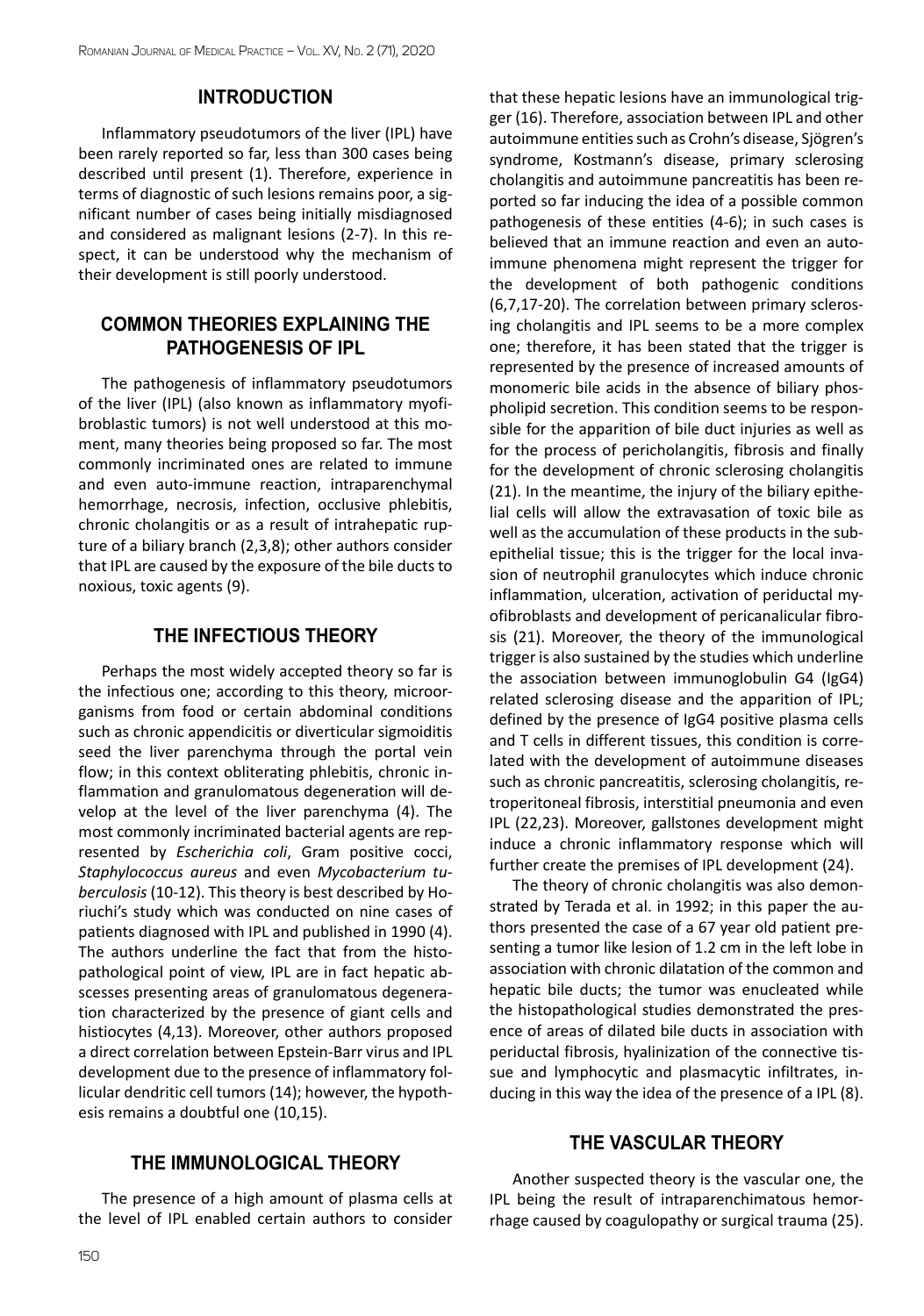#### **INTRODUCTION**

Inflammatory pseudotumors of the liver (IPL) have been rarely reported so far, less than 300 cases being described until present (1). Therefore, experience in terms of diagnostic of such lesions remains poor, a significant number of cases being initially misdiagnosed and considered as malignant lesions (2-7). In this respect, it can be understood why the mechanism of their development is still poorly understood.

# **COMMON THEORIES EXPLAINING THE PATHOGENESIS OF IPL**

The pathogenesis of inflammatory pseudotumors of the liver (IPL) (also known as inflammatory myofibroblastic tumors) is not well understood at this moment, many theories being proposed so far. The most commonly incriminated ones are related to immune and even auto-immune reaction, intraparenchymal hemorrhage, necrosis, infection, occlusive phlebitis, chronic cholangitis or as a result of intrahepatic rupture of a biliary branch (2,3,8); other authors consider that IPL are caused by the exposure of the bile ducts to noxious, toxic agents (9).

# **THE INFECTIOUS THEORY**

Perhaps the most widely accepted theory so far is the infectious one; according to this theory, microorganisms from food or certain abdominal conditions such as chronic appendicitis or diverticular sigmoiditis seed the liver parenchyma through the portal vein flow; in this context obliterating phlebitis, chronic inflammation and granulomatous degeneration will develop at the level of the liver parenchyma (4). The most commonly incriminated bacterial agents are represented by *Escherichia coli*, Gram positive cocci, *Staphylococcus aureus* and even *Mycobacterium tuberculosis* (10-12). This theory is best described by Horiuchi's study which was conducted on nine cases of patients diagnosed with IPL and published in 1990 (4). The authors underline the fact that from the histopathological point of view, IPL are in fact hepatic abscesses presenting areas of granulomatous degeneration characterized by the presence of giant cells and histiocytes (4,13). Moreover, other authors proposed a direct correlation between Epstein-Barr virus and IPL development due to the presence of inflammatory follicular dendritic cell tumors (14); however, the hypothesis remains a doubtful one (10,15).

# **THE IMMUNOLOGICAL THEORY**

The presence of a high amount of plasma cells at the level of IPL enabled certain authors to consider that these hepatic lesions have an immunological trigger (16). Therefore, association between IPL and other autoimmune entities such as Crohn's disease, Sjögren's syndrome, Kostmann's disease, primary sclerosing cholangitis and autoimmune pancreatitis has been reported so far inducing the idea of a possible common pathogenesis of these entities (4-6); in such cases is believed that an immune reaction and even an autoimmune phenomena might represent the trigger for the development of both pathogenic conditions (6,7,17-20). The correlation between primary sclerosing cholangitis and IPL seems to be a more complex one; therefore, it has been stated that the trigger is represented by the presence of increased amounts of monomeric bile acids in the absence of biliary phospholipid secretion. This condition seems to be responsible for the apparition of bile duct injuries as well as for the process of pericholangitis, fibrosis and finally for the development of chronic sclerosing cholangitis (21). In the meantime, the injury of the biliary epithelial cells will allow the extravasation of toxic bile as well as the accumulation of these products in the subepithelial tissue; this is the trigger for the local invasion of neutrophil granulocytes which induce chronic inflammation, ulceration, activation of periductal myofibroblasts and development of pericanalicular fibrosis (21). Moreover, the theory of the immunological trigger is also sustained by the studies which underline the association between immunoglobulin G4 (IgG4) related sclerosing disease and the apparition of IPL; defined by the presence of IgG4 positive plasma cells and T cells in different tissues, this condition is correlated with the development of autoimmune diseases such as chronic pancreatitis, sclerosing cholangitis, retroperitoneal fibrosis, interstitial pneumonia and even IPL (22,23). Moreover, gallstones development might induce a chronic inflammatory response which will further create the premises of IPL development (24).

The theory of chronic cholangitis was also demonstrated by Terada et al. in 1992; in this paper the authors presented the case of a 67 year old patient presenting a tumor like lesion of 1.2 cm in the left lobe in association with chronic dilatation of the common and hepatic bile ducts; the tumor was enucleated while the histopathological studies demonstrated the presence of areas of dilated bile ducts in association with periductal fibrosis, hyalinization of the connective tissue and lymphocytic and plasmacytic infiltrates, inducing in this way the idea of the presence of a IPL (8).

### **THE VASCULAR THEORY**

Another suspected theory is the vascular one, the IPL being the result of intraparenchimatous hemorrhage caused by coagulopathy or surgical trauma (25).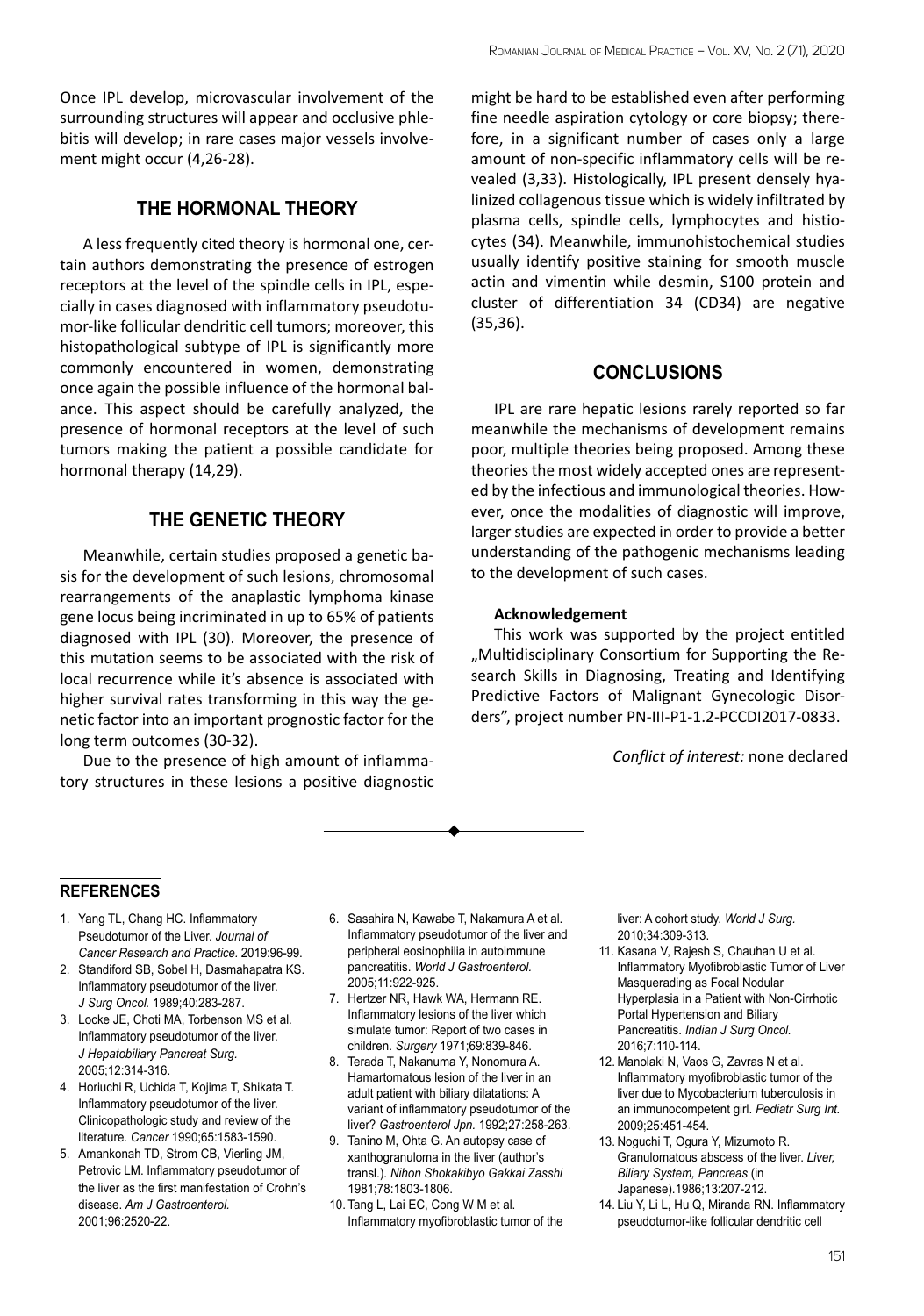Once IPL develop, microvascular involvement of the surrounding structures will appear and occlusive phlebitis will develop; in rare cases major vessels involvement might occur (4,26-28).

#### **THE HORMONAL THEORY**

A less frequently cited theory is hormonal one, certain authors demonstrating the presence of estrogen receptors at the level of the spindle cells in IPL, especially in cases diagnosed with inflammatory pseudotumor-like follicular dendritic cell tumors; moreover, this histopathological subtype of IPL is significantly more commonly encountered in women, demonstrating once again the possible influence of the hormonal balance. This aspect should be carefully analyzed, the presence of hormonal receptors at the level of such tumors making the patient a possible candidate for hormonal therapy (14,29).

# **THE GENETIC THEORY**

Meanwhile, certain studies proposed a genetic basis for the development of such lesions, chromosomal rearrangements of the anaplastic lymphoma kinase gene locus being incriminated in up to 65% of patients diagnosed with IPL (30). Moreover, the presence of this mutation seems to be associated with the risk of local recurrence while it's absence is associated with higher survival rates transforming in this way the genetic factor into an important prognostic factor for the long term outcomes (30-32).

Due to the presence of high amount of inflammatory structures in these lesions a positive diagnostic might be hard to be established even after performing fine needle aspiration cytology or core biopsy; therefore, in a significant number of cases only a large amount of non-specific inflammatory cells will be revealed (3,33). Histologically, IPL present densely hyalinized collagenous tissue which is widely infiltrated by plasma cells, spindle cells, lymphocytes and histiocytes (34). Meanwhile, immunohistochemical studies usually identify positive staining for smooth muscle actin and vimentin while desmin, S100 protein and cluster of differentiation 34 (CD34) are negative (35,36).

#### **CONCLUSIONS**

IPL are rare hepatic lesions rarely reported so far meanwhile the mechanisms of development remains poor, multiple theories being proposed. Among these theories the most widely accepted ones are represented by the infectious and immunological theories. However, once the modalities of diagnostic will improve, larger studies are expected in order to provide a better understanding of the pathogenic mechanisms leading to the development of such cases.

#### **Acknowledgement**

This work was supported by the project entitled "Multidisciplinary Consortium for Supporting the Research Skills in Diagnosing, Treating and Identifying Predictive Factors of Malignant Gynecologic Disorders", project number PN-III-P1-1.2-PCCDI2017-0833.

*Conflict of interest:* none declared

#### **REFERENCES references**

- 1. Yang TL, Chang HC. Inflammatory Pseudotumor of the Liver. *Journal of Cancer Research and Practice.* 2019:96-99.
- 2. Standiford SB, Sobel H, Dasmahapatra KS. Inflammatory pseudotumor of the liver. *J Surg Oncol.* 1989;40:283-287.
- 3. Locke JE, Choti MA, Torbenson MS et al. Inflammatory pseudotumor of the liver. *J Hepatobiliary Pancreat Surg.* 2005;12:314-316.
- 4. Horiuchi R, Uchida T, Kojima T, Shikata T. Inflammatory pseudotumor of the liver. Clinicopathologic study and review of the literature. *Cancer* 1990;65:1583-1590.
- 5. Amankonah TD, Strom CB, Vierling JM, Petrovic LM. Inflammatory pseudotumor of the liver as the first manifestation of Crohn's disease. *Am J Gastroenterol.* 2001;96:2520-22.
- 6. Sasahira N, Kawabe T, Nakamura A et al. Inflammatory pseudotumor of the liver and peripheral eosinophilia in autoimmune pancreatitis. *World J Gastroenterol.* 2005;11:922-925.
- 7. Hertzer NR, Hawk WA, Hermann RE. Inflammatory lesions of the liver which simulate tumor: Report of two cases in children. *Surgery* 1971;69:839-846.
- 8. Terada T, Nakanuma Y, Nonomura A. Hamartomatous lesion of the liver in an adult patient with biliary dilatations: A variant of inflammatory pseudotumor of the liver? *Gastroenterol Jpn.* 1992;27:258-263.
- 9. Tanino M, Ohta G. An autopsy case of xanthogranuloma in the liver (author's transl.). *Nihon Shokakibyo Gakkai Zasshi* 1981;78:1803-1806.
- 10. Tang L, Lai EC, Cong W M et al. Inflammatory myofibroblastic tumor of the

liver: A cohort study. *World J Surg.* 2010;34:309-313.

- 11. Kasana V, Rajesh S, Chauhan U et al. Inflammatory Myofibroblastic Tumor of Liver Masquerading as Focal Nodular Hyperplasia in a Patient with Non-Cirrhotic Portal Hypertension and Biliary Pancreatitis. *Indian J Surg Oncol.* 2016;7:110-114.
- 12. Manolaki N, Vaos G, Zavras N et al. Inflammatory myofibroblastic tumor of the liver due to Mycobacterium tuberculosis in an immunocompetent girl. *Pediatr Surg Int.* 2009;25:451-454.
- 13. Noguchi T, Ogura Y, Mizumoto R. Granulomatous abscess of the liver. *Liver, Biliary System, Pancreas* (in Japanese).1986;13:207-212.
- 14. Liu Y, Li L, Hu Q, Miranda RN. Inflammatory pseudotumor-like follicular dendritic cell